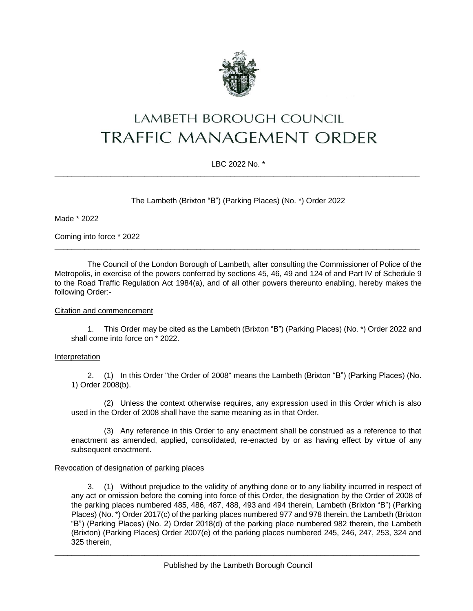

# **LAMBETH BOROUGH COUNCIL TRAFFIC MANAGEMENT ORDER**

## LBC 2022 No. \*  $\_$  , and the set of the set of the set of the set of the set of the set of the set of the set of the set of the set of the set of the set of the set of the set of the set of the set of the set of the set of the set of th

The Lambeth (Brixton "B") (Parking Places) (No. \*) Order 2022

Made \* 2022

Coming into force \* 2022

The Council of the London Borough of Lambeth, after consulting the Commissioner of Police of the Metropolis, in exercise of the powers conferred by sections 45, 46, 49 and 124 of and Part IV of Schedule 9 to the Road Traffic Regulation Act 1984(a), and of all other powers thereunto enabling, hereby makes the following Order:-

 $\_$  , and the set of the set of the set of the set of the set of the set of the set of the set of the set of the set of the set of the set of the set of the set of the set of the set of the set of the set of the set of th

#### Citation and commencement

1. This Order may be cited as the Lambeth (Brixton "B") (Parking Places) (No. \*) Order 2022 and shall come into force on \* 2022.

#### Interpretation

2. (1) In this Order "the Order of 2008" means the Lambeth (Brixton "B") (Parking Places) (No. 1) Order 2008(b).

(2) Unless the context otherwise requires, any expression used in this Order which is also used in the Order of 2008 shall have the same meaning as in that Order.

(3) Any reference in this Order to any enactment shall be construed as a reference to that enactment as amended, applied, consolidated, re-enacted by or as having effect by virtue of any subsequent enactment.

#### Revocation of designation of parking places

3. (1) Without prejudice to the validity of anything done or to any liability incurred in respect of any act or omission before the coming into force of this Order, the designation by the Order of 2008 of the parking places numbered 485, 486, 487, 488, 493 and 494 therein, Lambeth (Brixton "B") (Parking Places) (No. \*) Order 2017(c) of the parking places numbered 977 and 978 therein, the Lambeth (Brixton "B") (Parking Places) (No. 2) Order 2018(d) of the parking place numbered 982 therein, the Lambeth (Brixton) (Parking Places) Order 2007(e) of the parking places numbered 245, 246, 247, 253, 324 and 325 therein,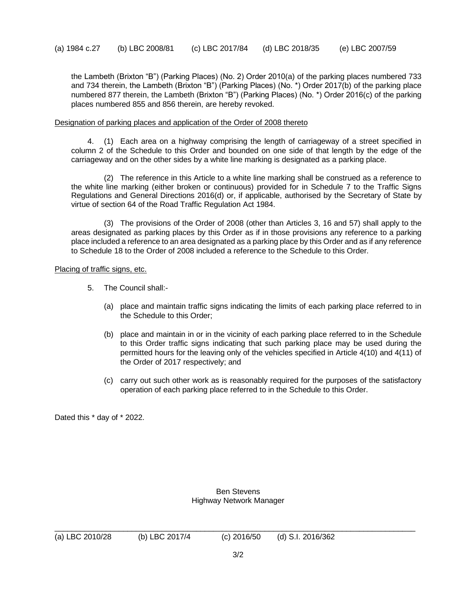the Lambeth (Brixton "B") (Parking Places) (No. 2) Order 2010(a) of the parking places numbered 733 and 734 therein, the Lambeth (Brixton "B") (Parking Places) (No. \*) Order 2017(b) of the parking place numbered 877 therein, the Lambeth (Brixton "B") (Parking Places) (No. \*) Order 2016(c) of the parking places numbered 855 and 856 therein, are hereby revoked.

### Designation of parking places and application of the Order of 2008 thereto

4. (1) Each area on a highway comprising the length of carriageway of a street specified in column 2 of the Schedule to this Order and bounded on one side of that length by the edge of the carriageway and on the other sides by a white line marking is designated as a parking place.

(2) The reference in this Article to a white line marking shall be construed as a reference to the white line marking (either broken or continuous) provided for in Schedule 7 to the Traffic Signs Regulations and General Directions 2016(d) or, if applicable, authorised by the Secretary of State by virtue of section 64 of the Road Traffic Regulation Act 1984.

(3) The provisions of the Order of 2008 (other than Articles 3, 16 and 57) shall apply to the areas designated as parking places by this Order as if in those provisions any reference to a parking place included a reference to an area designated as a parking place by this Order and as if any reference to Schedule 18 to the Order of 2008 included a reference to the Schedule to this Order.

Placing of traffic signs, etc.

- 5. The Council shall:-
	- (a) place and maintain traffic signs indicating the limits of each parking place referred to in the Schedule to this Order;
	- (b) place and maintain in or in the vicinity of each parking place referred to in the Schedule to this Order traffic signs indicating that such parking place may be used during the permitted hours for the leaving only of the vehicles specified in Article 4(10) and 4(11) of the Order of 2017 respectively; and
	- (c) carry out such other work as is reasonably required for the purposes of the satisfactory operation of each parking place referred to in the Schedule to this Order.

Dated this \* day of \* 2022.

Ben Stevens Highway Network Manager

\_\_\_\_\_\_\_\_\_\_\_\_\_\_\_\_\_\_\_\_\_\_\_\_\_\_\_\_\_\_\_\_\_\_\_\_\_\_\_\_\_\_\_\_\_\_\_\_\_\_\_\_\_\_\_\_\_\_\_\_\_\_\_\_\_\_\_\_\_\_\_\_\_\_\_\_\_\_\_\_\_\_\_\_

(a) LBC 2010/28 (b) LBC 2017/4 (c) 2016/50 (d) S.I. 2016/362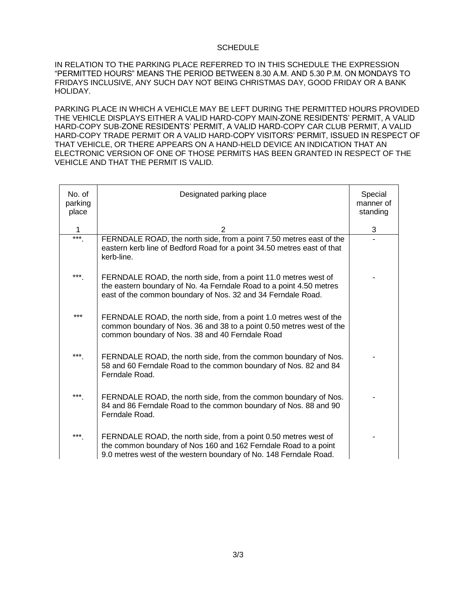#### **SCHEDULE**

IN RELATION TO THE PARKING PLACE REFERRED TO IN THIS SCHEDULE THE EXPRESSION "PERMITTED HOURS" MEANS THE PERIOD BETWEEN 8.30 A.M. AND 5.30 P.M. ON MONDAYS TO FRIDAYS INCLUSIVE, ANY SUCH DAY NOT BEING CHRISTMAS DAY, GOOD FRIDAY OR A BANK HOLIDAY.

PARKING PLACE IN WHICH A VEHICLE MAY BE LEFT DURING THE PERMITTED HOURS PROVIDED THE VEHICLE DISPLAYS EITHER A VALID HARD-COPY MAIN-ZONE RESIDENTS' PERMIT, A VALID HARD-COPY SUB-ZONE RESIDENTS' PERMIT, A VALID HARD-COPY CAR CLUB PERMIT, A VALID HARD-COPY TRADE PERMIT OR A VALID HARD-COPY VISITORS' PERMIT, ISSUED IN RESPECT OF THAT VEHICLE, OR THERE APPEARS ON A HAND-HELD DEVICE AN INDICATION THAT AN ELECTRONIC VERSION OF ONE OF THOSE PERMITS HAS BEEN GRANTED IN RESPECT OF THE VEHICLE AND THAT THE PERMIT IS VALID.

| No. of<br>parking<br>place | Designated parking place                                                                                                                                                                                | Special<br>manner of<br>standing |
|----------------------------|---------------------------------------------------------------------------------------------------------------------------------------------------------------------------------------------------------|----------------------------------|
| 1                          | 2                                                                                                                                                                                                       | 3                                |
| ***                        | FERNDALE ROAD, the north side, from a point 7.50 metres east of the<br>eastern kerb line of Bedford Road for a point 34.50 metres east of that<br>kerb-line.                                            |                                  |
| ***                        | FERNDALE ROAD, the north side, from a point 11.0 metres west of<br>the eastern boundary of No. 4a Ferndale Road to a point 4.50 metres<br>east of the common boundary of Nos. 32 and 34 Ferndale Road.  |                                  |
| ***                        | FERNDALE ROAD, the north side, from a point 1.0 metres west of the<br>common boundary of Nos. 36 and 38 to a point 0.50 metres west of the<br>common boundary of Nos. 38 and 40 Ferndale Road           |                                  |
| ***                        | FERNDALE ROAD, the north side, from the common boundary of Nos.<br>58 and 60 Ferndale Road to the common boundary of Nos. 82 and 84<br>Ferndale Road.                                                   |                                  |
| ***                        | FERNDALE ROAD, the north side, from the common boundary of Nos.<br>84 and 86 Ferndale Road to the common boundary of Nos. 88 and 90<br>Ferndale Road.                                                   |                                  |
| ***                        | FERNDALE ROAD, the north side, from a point 0.50 metres west of<br>the common boundary of Nos 160 and 162 Ferndale Road to a point<br>9.0 metres west of the western boundary of No. 148 Ferndale Road. |                                  |